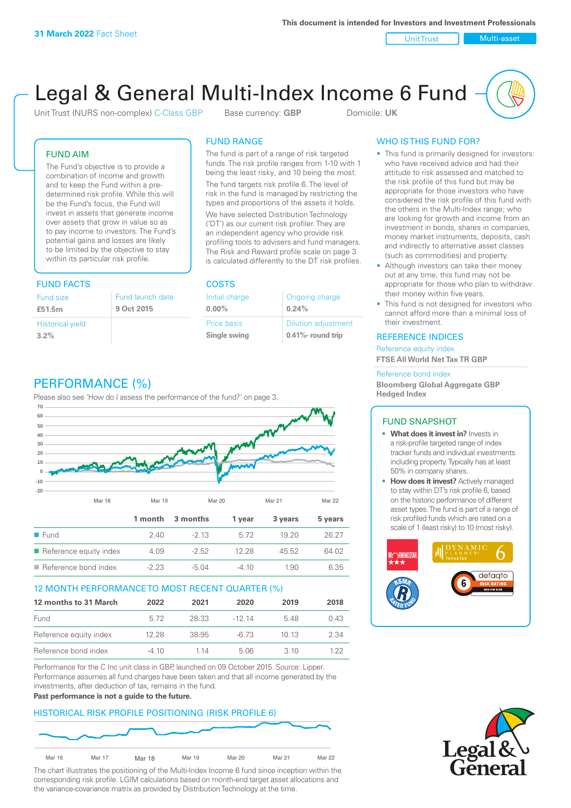Unit Trust Nulti-asset

# Legal & General Multi-Index Income 6 Fund

Unit Trust (NURS non-complex) C-Class GBP Base currency: **GBP** Domicile: UK

# FUND AIM

The Fund's objective is to provide a combination of income and growth and to keep the Fund within a predetermined risk profile. While this will be the Fund's focus, the Fund will invest in assets that generate income over assets that grow in value so as to pay income to investors. The Fund's potential gains and losses are likely to be limited by the objective to stay within its particular risk profile.

# FUND FACTS COSTS

| Fund size<br>£51.5m     | Fund launch date<br>9 Oct 2015 |
|-------------------------|--------------------------------|
| <b>Historical yield</b> |                                |
| 3.2%                    |                                |

# FUND RANGE

The fund is part of a range of risk targeted funds. The risk profile ranges from 1-10 with 1 being the least risky, and 10 being the most.

The fund targets risk profile 6. The level of risk in the fund is managed by restricting the types and proportions of the assets it holds. We have selected Distribution Technology ('DT') as our current risk profiler. They are an independent agency who provide risk profiling tools to advisers and fund managers. The Risk and Reward profile scale on page 3 is calculated differently to the DT risk profiles.

| Initial charge | Ongoing charge             |
|----------------|----------------------------|
| $0.00\%$       | 0.24%                      |
| Price basis    | <b>Dilution adjustment</b> |
| Single swing   | 0.41%- round trip          |

# WHO IS THIS FUND FOR?

- This fund is primarily designed for investors: who have received advice and had their attitude to risk assessed and matched to the risk profile of this fund but may be appropriate for those investors who have considered the risk profile of this fund with the others in the Multi-Index range; who are looking for growth and income from an investment in bonds, shares in companies, money market instruments, deposits, cash and indirectly to alternative asset classes (such as commodities) and property.
- Although investors can take their money out at any time, this fund may not be appropriate for those who plan to withdraw their money within five years.
- This fund is not designed for investors who cannot afford more than a minimal loss of their investment.

# REFERENCE INDICES

Reference equity index **FTSE All World Net Tax TR GBP**

#### Reference bond index

**Bloomberg Global Aggregate GBP Hedged Index**

# FUND SNAPSHOT

- **• What does it invest in?** Invests in a risk-profile targeted range of index tracker funds and individual investments including property. Typically has at least 50% in company shares.
- **• How does it invest?** Actively managed to stay within DT's risk profile 6, based on the historic performance of different asset types. The fund is part of a range of risk profiled funds which are rated on a scale of 1 (least risky) to 10 (most risky).





# PERFORMANCE (%)

Please also see 'How do I assess the performance of the fund?' on page 3.



# 12 MONTH PERFORMANCE TO MOST RECENT QUARTER (%)

| 12 months to 31 March  | 2022    | 2021  | 2020    | 2019 | 2018 |
|------------------------|---------|-------|---------|------|------|
| Fund                   | 5.72    | 28.33 | $-1214$ | 548  | 0.43 |
| Reference equity index | 12.28   | 38.95 | -6.73   | 1013 | 2.34 |
| Reference bond index   | $-4.10$ | 1 14  | 5.06    | 3.10 | 1 22 |

Performance for the C Inc unit class in GBP, launched on 09 October 2015. Source: Lipper. Performance assumes all fund charges have been taken and that all income generated by the investments, after deduction of tax, remains in the fund.

#### **Past performance is not a guide to the future.**

# HISTORICAL RISK PROFILE POSITIONING (RISK PROFILE 6)



The chart illustrates the positioning of the Multi-Index Income 6 fund since inception within the corresponding risk profile. LGIM calculations based on month-end target asset allocations and the variance-covariance matrix as provided by Distribution Technology at the time.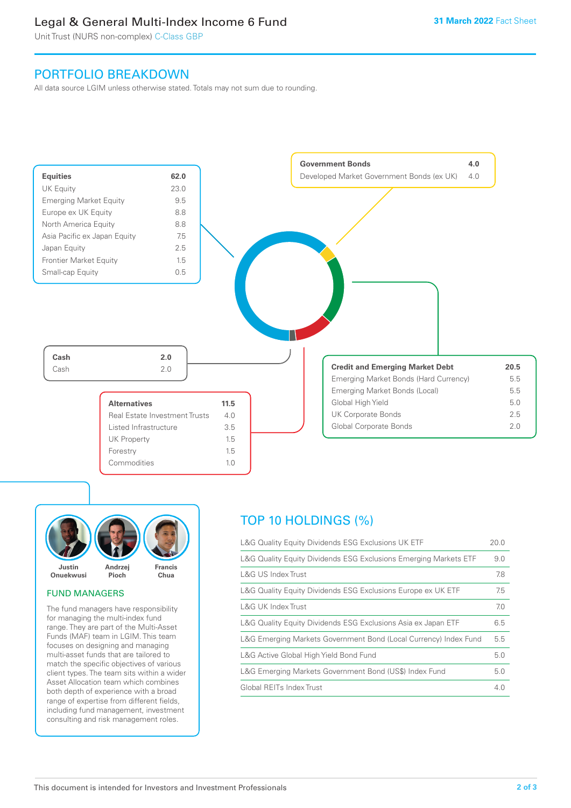# Legal & General Multi-Index Income 6 Fund

Unit Trust (NURS non-complex) C-Class GBP

# PORTFOLIO BREAKDOWN

All data source LGIM unless otherwise stated. Totals may not sum due to rounding.





# FUND MANAGERS

The fund managers have responsibility for managing the multi-index fund range. They are part of the Multi-Asset Funds (MAF) team in LGIM. This team focuses on designing and managing multi-asset funds that are tailored to match the specific objectives of various client types. The team sits within a wider Asset Allocation team which combines both depth of experience with a broad range of expertise from different fields, including fund management, investment consulting and risk management roles.

# TOP 10 HOLDINGS (%)

| L&G Quality Equity Dividends ESG Exclusions UK ETF               | 20.0 |
|------------------------------------------------------------------|------|
| L&G Quality Equity Dividends ESG Exclusions Emerging Markets ETF | 9.0  |
| L&G US Index Trust                                               | 7.8  |
| L&G Quality Equity Dividends ESG Exclusions Europe ex UK ETF     | 7.5  |
| L&G UK Index Trust                                               | 7.0  |
| L&G Quality Equity Dividends ESG Exclusions Asia ex Japan ETF    | 6.5  |
| L&G Emerging Markets Government Bond (Local Currency) Index Fund | 5.5  |
| L&G Active Global High Yield Bond Fund                           | 5.0  |
| L&G Emerging Markets Government Bond (US\$) Index Fund           | 5.0  |
| Global REITs Index Trust                                         | 4.0  |